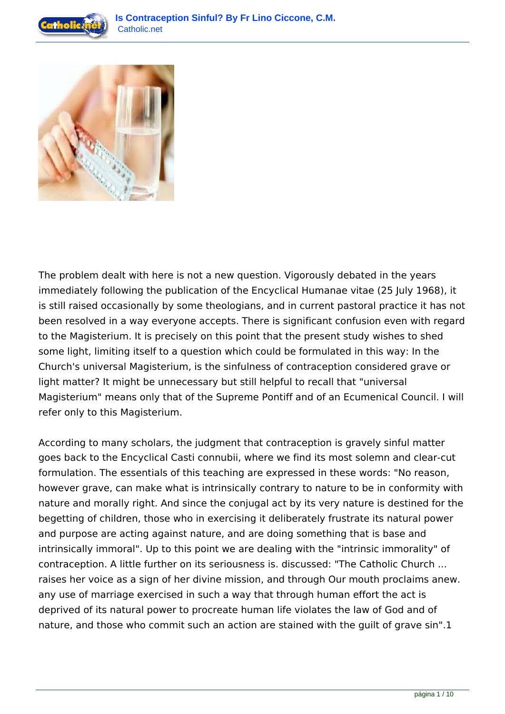



The problem dealt with here is not a new question. Vigorously debated in the years immediately following the publication of the Encyclical Humanae vitae (25 July 1968), it is still raised occasionally by some theologians, and in current pastoral practice it has not been resolved in a way everyone accepts. There is significant confusion even with regard to the Magisterium. It is precisely on this point that the present study wishes to shed some light, limiting itself to a question which could be formulated in this way: In the Church's universal Magisterium, is the sinfulness of contraception considered grave or light matter? It might be unnecessary but still helpful to recall that "universal Magisterium" means only that of the Supreme Pontiff and of an Ecumenical Council. I will refer only to this Magisterium.

According to many scholars, the judgment that contraception is gravely sinful matter goes back to the Encyclical Casti connubii, where we find its most solemn and clear-cut formulation. The essentials of this teaching are expressed in these words: "No reason, however grave, can make what is intrinsically contrary to nature to be in conformity with nature and morally right. And since the conjugal act by its very nature is destined for the begetting of children, those who in exercising it deliberately frustrate its natural power and purpose are acting against nature, and are doing something that is base and intrinsically immoral". Up to this point we are dealing with the "intrinsic immorality" of contraception. A little further on its seriousness is. discussed: "The Catholic Church ... raises her voice as a sign of her divine mission, and through Our mouth proclaims anew. any use of marriage exercised in such a way that through human effort the act is deprived of its natural power to procreate human life violates the law of God and of nature, and those who commit such an action are stained with the guilt of grave sin".1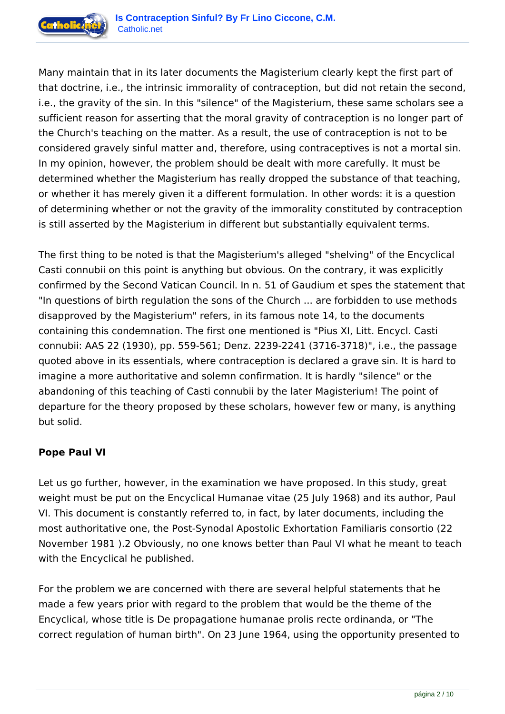

Many maintain that in its later documents the Magisterium clearly kept the first part of that doctrine, i.e., the intrinsic immorality of contraception, but did not retain the second, i.e., the gravity of the sin. In this "silence" of the Magisterium, these same scholars see a sufficient reason for asserting that the moral gravity of contraception is no longer part of the Church's teaching on the matter. As a result, the use of contraception is not to be considered gravely sinful matter and, therefore, using contraceptives is not a mortal sin. In my opinion, however, the problem should be dealt with more carefully. It must be determined whether the Magisterium has really dropped the substance of that teaching, or whether it has merely given it a different formulation. In other words: it is a question of determining whether or not the gravity of the immorality constituted by contraception is still asserted by the Magisterium in different but substantially equivalent terms.

The first thing to be noted is that the Magisterium's alleged "shelving" of the Encyclical Casti connubii on this point is anything but obvious. On the contrary, it was explicitly confirmed by the Second Vatican Council. In n. 51 of Gaudium et spes the statement that "In questions of birth regulation the sons of the Church ... are forbidden to use methods disapproved by the Magisterium" refers, in its famous note 14, to the documents containing this condemnation. The first one mentioned is "Pius XI, Litt. Encycl. Casti connubii: AAS 22 (1930), pp. 559-561; Denz. 2239-2241 (3716-3718)", i.e., the passage quoted above in its essentials, where contraception is declared a grave sin. It is hard to imagine a more authoritative and solemn confirmation. It is hardly "silence" or the abandoning of this teaching of Casti connubii by the later Magisterium! The point of departure for the theory proposed by these scholars, however few or many, is anything but solid.

# **Pope Paul VI**

Let us go further, however, in the examination we have proposed. In this study, great weight must be put on the Encyclical Humanae vitae (25 July 1968) and its author, Paul VI. This document is constantly referred to, in fact, by later documents, including the most authoritative one, the Post-Synodal Apostolic Exhortation Familiaris consortio (22 November 1981 ).2 Obviously, no one knows better than Paul VI what he meant to teach with the Encyclical he published.

For the problem we are concerned with there are several helpful statements that he made a few years prior with regard to the problem that would be the theme of the Encyclical, whose title is De propagatione humanae prolis recte ordinanda, or "The correct regulation of human birth". On 23 June 1964, using the opportunity presented to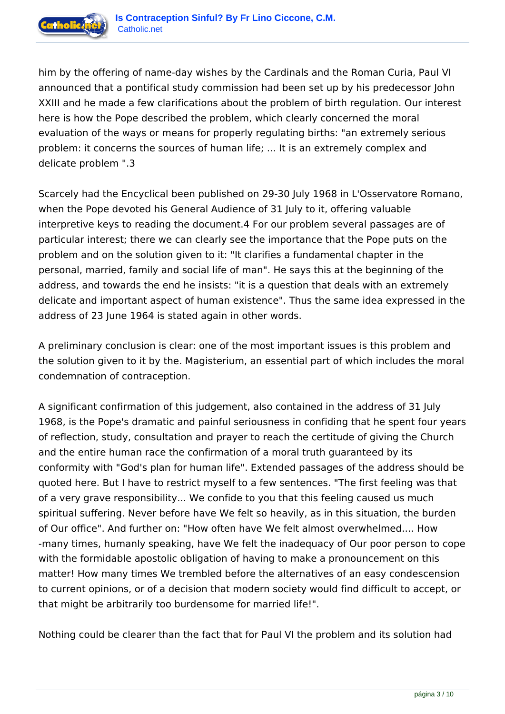

him by the offering of name-day wishes by the Cardinals and the Roman Curia, Paul VI announced that a pontifical study commission had been set up by his predecessor John XXIII and he made a few clarifications about the problem of birth regulation. Our interest here is how the Pope described the problem, which clearly concerned the moral evaluation of the ways or means for properly regulating births: "an extremely serious problem: it concerns the sources of human life; ... It is an extremely complex and delicate problem ".3

Scarcely had the Encyclical been published on 29-30 July 1968 in L'Osservatore Romano, when the Pope devoted his General Audience of 31 July to it, offering valuable interpretive keys to reading the document.4 For our problem several passages are of particular interest; there we can clearly see the importance that the Pope puts on the problem and on the solution given to it: "It clarifies a fundamental chapter in the personal, married, family and social life of man". He says this at the beginning of the address, and towards the end he insists: "it is a question that deals with an extremely delicate and important aspect of human existence". Thus the same idea expressed in the address of 23 June 1964 is stated again in other words.

A preliminary conclusion is clear: one of the most important issues is this problem and the solution given to it by the. Magisterium, an essential part of which includes the moral condemnation of contraception.

A significant confirmation of this judgement, also contained in the address of 31 July 1968, is the Pope's dramatic and painful seriousness in confiding that he spent four years of reflection, study, consultation and prayer to reach the certitude of giving the Church and the entire human race the confirmation of a moral truth guaranteed by its conformity with "God's plan for human life". Extended passages of the address should be quoted here. But I have to restrict myself to a few sentences. "The first feeling was that of a very grave responsibility... We confide to you that this feeling caused us much spiritual suffering. Never before have We felt so heavily, as in this situation, the burden of Our office". And further on: "How often have We felt almost overwhelmed.... How -many times, humanly speaking, have We felt the inadequacy of Our poor person to cope with the formidable apostolic obligation of having to make a pronouncement on this matter! How many times We trembled before the alternatives of an easy condescension to current opinions, or of a decision that modern society would find difficult to accept, or that might be arbitrarily too burdensome for married life!".

Nothing could be clearer than the fact that for Paul VI the problem and its solution had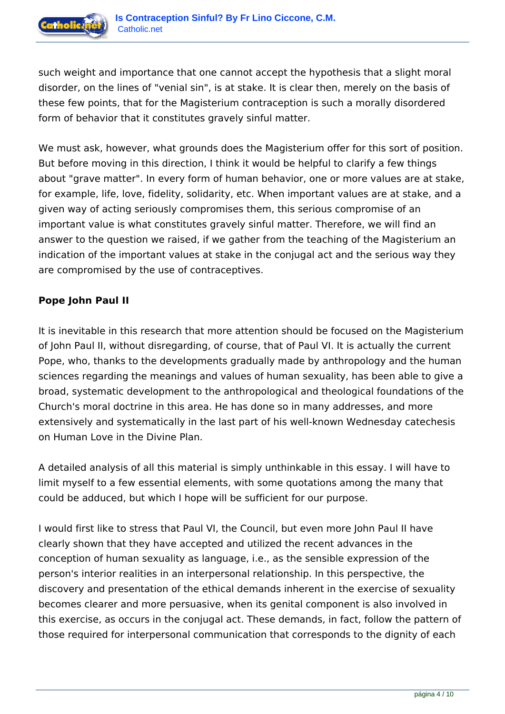

such weight and importance that one cannot accept the hypothesis that a slight moral disorder, on the lines of "venial sin", is at stake. It is clear then, merely on the basis of these few points, that for the Magisterium contraception is such a morally disordered form of behavior that it constitutes gravely sinful matter.

We must ask, however, what grounds does the Magisterium offer for this sort of position. But before moving in this direction, I think it would be helpful to clarify a few things about "grave matter". In every form of human behavior, one or more values are at stake, for example, life, love, fidelity, solidarity, etc. When important values are at stake, and a given way of acting seriously compromises them, this serious compromise of an important value is what constitutes gravely sinful matter. Therefore, we will find an answer to the question we raised, if we gather from the teaching of the Magisterium an indication of the important values at stake in the conjugal act and the serious way they are compromised by the use of contraceptives.

# **Pope John Paul II**

It is inevitable in this research that more attention should be focused on the Magisterium of John Paul II, without disregarding, of course, that of Paul VI. It is actually the current Pope, who, thanks to the developments gradually made by anthropology and the human sciences regarding the meanings and values of human sexuality, has been able to give a broad, systematic development to the anthropological and theological foundations of the Church's moral doctrine in this area. He has done so in many addresses, and more extensively and systematically in the last part of his well-known Wednesday catechesis on Human Love in the Divine Plan.

A detailed analysis of all this material is simply unthinkable in this essay. I will have to limit myself to a few essential elements, with some quotations among the many that could be adduced, but which I hope will be sufficient for our purpose.

I would first like to stress that Paul VI, the Council, but even more John Paul II have clearly shown that they have accepted and utilized the recent advances in the conception of human sexuality as language, i.e., as the sensible expression of the person's interior realities in an interpersonal relationship. In this perspective, the discovery and presentation of the ethical demands inherent in the exercise of sexuality becomes clearer and more persuasive, when its genital component is also involved in this exercise, as occurs in the conjugal act. These demands, in fact, follow the pattern of those required for interpersonal communication that corresponds to the dignity of each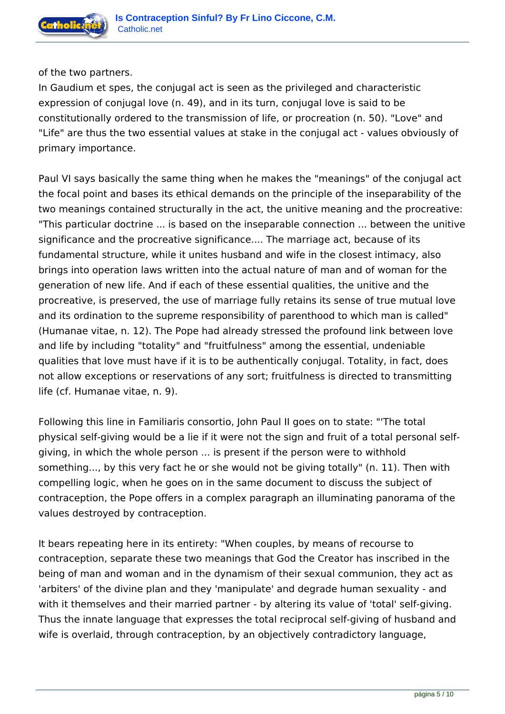

of the two partners.

In Gaudium et spes, the conjugal act is seen as the privileged and characteristic expression of conjugal love (n. 49), and in its turn, conjugal love is said to be constitutionally ordered to the transmission of life, or procreation (n. 50). "Love" and "Life" are thus the two essential values at stake in the conjugal act - values obviously of primary importance.

Paul VI says basically the same thing when he makes the "meanings" of the conjugal act the focal point and bases its ethical demands on the principle of the inseparability of the two meanings contained structurally in the act, the unitive meaning and the procreative: "This particular doctrine ... is based on the inseparable connection ... between the unitive significance and the procreative significance.... The marriage act, because of its fundamental structure, while it unites husband and wife in the closest intimacy, also brings into operation laws written into the actual nature of man and of woman for the generation of new life. And if each of these essential qualities, the unitive and the procreative, is preserved, the use of marriage fully retains its sense of true mutual love and its ordination to the supreme responsibility of parenthood to which man is called" (Humanae vitae, n. 12). The Pope had already stressed the profound link between love and life by including "totality" and "fruitfulness" among the essential, undeniable qualities that love must have if it is to be authentically conjugal. Totality, in fact, does not allow exceptions or reservations of any sort; fruitfulness is directed to transmitting life (cf. Humanae vitae, n. 9).

Following this line in Familiaris consortio, John Paul II goes on to state: "'The total physical self-giving would be a lie if it were not the sign and fruit of a total personal selfgiving, in which the whole person ... is present if the person were to withhold something..., by this very fact he or she would not be giving totally" (n. 11). Then with compelling logic, when he goes on in the same document to discuss the subject of contraception, the Pope offers in a complex paragraph an illuminating panorama of the values destroyed by contraception.

It bears repeating here in its entirety: "When couples, by means of recourse to contraception, separate these two meanings that God the Creator has inscribed in the being of man and woman and in the dynamism of their sexual communion, they act as 'arbiters' of the divine plan and they 'manipulate' and degrade human sexuality - and with it themselves and their married partner - by altering its value of 'total' self-giving. Thus the innate language that expresses the total reciprocal self-giving of husband and wife is overlaid, through contraception, by an objectively contradictory language,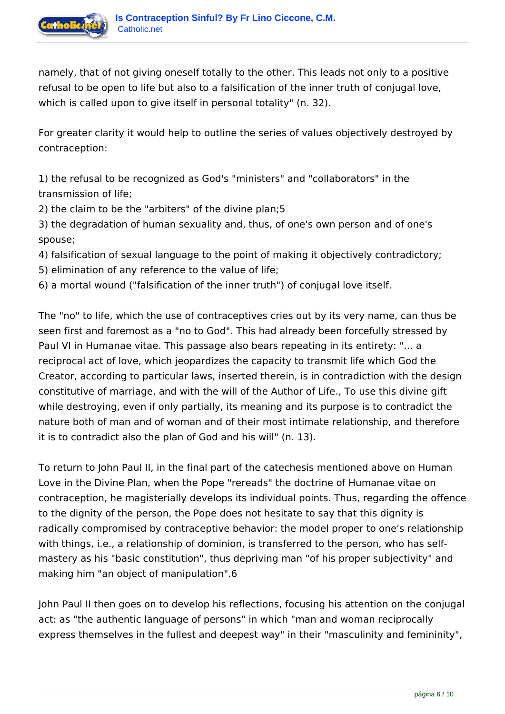

namely, that of not giving oneself totally to the other. This leads not only to a positive refusal to be open to life but also to a falsification of the inner truth of conjugal love, which is called upon to give itself in personal totality" (n. 32).

For greater clarity it would help to outline the series of values objectively destroyed by contraception:

1) the refusal to be recognized as God's "ministers" and "collaborators" in the transmission of life;

2) the claim to be the "arbiters" of the divine plan;5

3) the degradation of human sexuality and, thus, of one's own person and of one's spouse;

- 4) falsification of sexual language to the point of making it objectively contradictory;
- 5) elimination of any reference to the value of life;
- 6) a mortal wound ("falsification of the inner truth") of conjugal love itself.

The "no" to life, which the use of contraceptives cries out by its very name, can thus be seen first and foremost as a "no to God". This had already been forcefully stressed by Paul VI in Humanae vitae. This passage also bears repeating in its entirety: "... a reciprocal act of love, which jeopardizes the capacity to transmit life which God the Creator, according to particular laws, inserted therein, is in contradiction with the design constitutive of marriage, and with the will of the Author of Life., To use this divine gift while destroying, even if only partially, its meaning and its purpose is to contradict the nature both of man and of woman and of their most intimate relationship, and therefore it is to contradict also the plan of God and his will" (n. 13).

To return to John Paul II, in the final part of the catechesis mentioned above on Human Love in the Divine Plan, when the Pope "rereads" the doctrine of Humanae vitae on contraception, he magisterially develops its individual points. Thus, regarding the offence to the dignity of the person, the Pope does not hesitate to say that this dignity is radically compromised by contraceptive behavior: the model proper to one's relationship with things, i.e., a relationship of dominion, is transferred to the person, who has selfmastery as his "basic constitution", thus depriving man "of his proper subjectivity" and making him "an object of manipulation".6

John Paul II then goes on to develop his reflections, focusing his attention on the conjugal act: as "the authentic language of persons" in which "man and woman reciprocally express themselves in the fullest and deepest way" in their "masculinity and femininity",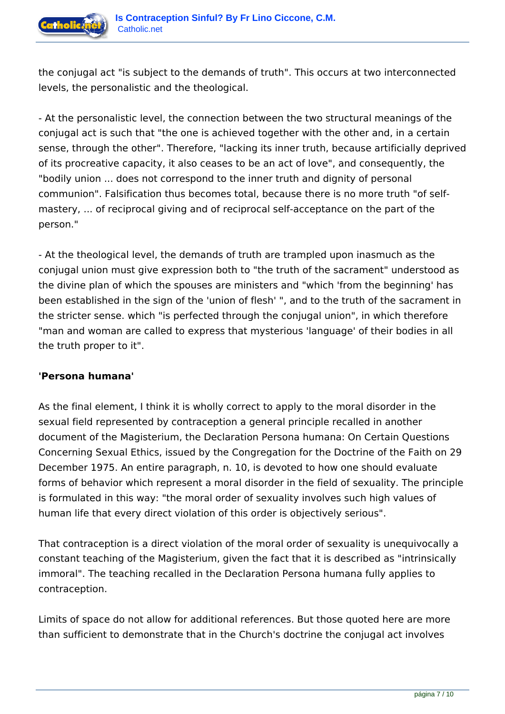

the conjugal act "is subject to the demands of truth". This occurs at two interconnected levels, the personalistic and the theological.

- At the personalistic level, the connection between the two structural meanings of the conjugal act is such that "the one is achieved together with the other and, in a certain sense, through the other". Therefore, "lacking its inner truth, because artificially deprived of its procreative capacity, it also ceases to be an act of love", and consequently, the "bodily union ... does not correspond to the inner truth and dignity of personal communion". Falsification thus becomes total, because there is no more truth "of selfmastery, ... of reciprocal giving and of reciprocal self-acceptance on the part of the person."

- At the theological level, the demands of truth are trampled upon inasmuch as the conjugal union must give expression both to "the truth of the sacrament" understood as the divine plan of which the spouses are ministers and "which 'from the beginning' has been established in the sign of the 'union of flesh' ", and to the truth of the sacrament in the stricter sense. which "is perfected through the conjugal union", in which therefore "man and woman are called to express that mysterious 'language' of their bodies in all the truth proper to it".

### **'Persona humana'**

As the final element, I think it is wholly correct to apply to the moral disorder in the sexual field represented by contraception a general principle recalled in another document of the Magisterium, the Declaration Persona humana: On Certain Questions Concerning Sexual Ethics, issued by the Congregation for the Doctrine of the Faith on 29 December 1975. An entire paragraph, n. 10, is devoted to how one should evaluate forms of behavior which represent a moral disorder in the field of sexuality. The principle is formulated in this way: "the moral order of sexuality involves such high values of human life that every direct violation of this order is objectively serious".

That contraception is a direct violation of the moral order of sexuality is unequivocally a constant teaching of the Magisterium, given the fact that it is described as "intrinsically immoral". The teaching recalled in the Declaration Persona humana fully applies to contraception.

Limits of space do not allow for additional references. But those quoted here are more than sufficient to demonstrate that in the Church's doctrine the conjugal act involves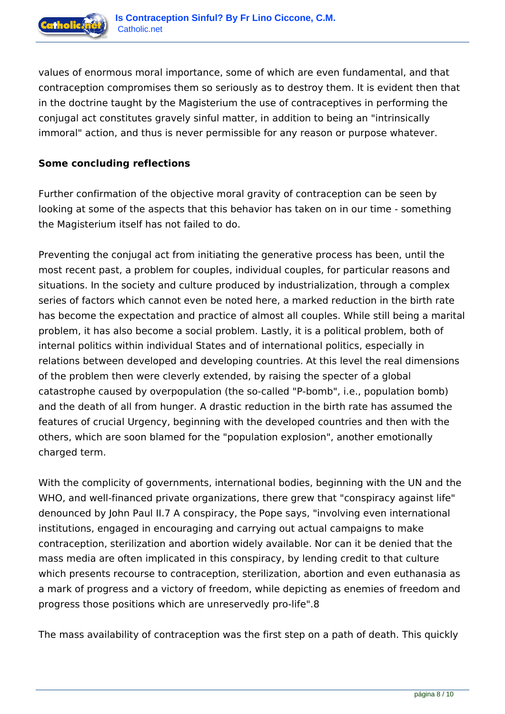

values of enormous moral importance, some of which are even fundamental, and that contraception compromises them so seriously as to destroy them. It is evident then that in the doctrine taught by the Magisterium the use of contraceptives in performing the conjugal act constitutes gravely sinful matter, in addition to being an "intrinsically immoral" action, and thus is never permissible for any reason or purpose whatever.

## **Some concluding reflections**

Further confirmation of the objective moral gravity of contraception can be seen by looking at some of the aspects that this behavior has taken on in our time - something the Magisterium itself has not failed to do.

Preventing the conjugal act from initiating the generative process has been, until the most recent past, a problem for couples, individual couples, for particular reasons and situations. In the society and culture produced by industrialization, through a complex series of factors which cannot even be noted here, a marked reduction in the birth rate has become the expectation and practice of almost all couples. While still being a marital problem, it has also become a social problem. Lastly, it is a political problem, both of internal politics within individual States and of international politics, especially in relations between developed and developing countries. At this level the real dimensions of the problem then were cleverly extended, by raising the specter of a global catastrophe caused by overpopulation (the so-called "P-bomb", i.e., population bomb) and the death of all from hunger. A drastic reduction in the birth rate has assumed the features of crucial Urgency, beginning with the developed countries and then with the others, which are soon blamed for the "population explosion", another emotionally charged term.

With the complicity of governments, international bodies, beginning with the UN and the WHO, and well-financed private organizations, there grew that "conspiracy against life" denounced by John Paul II.7 A conspiracy, the Pope says, "involving even international institutions, engaged in encouraging and carrying out actual campaigns to make contraception, sterilization and abortion widely available. Nor can it be denied that the mass media are often implicated in this conspiracy, by lending credit to that culture which presents recourse to contraception, sterilization, abortion and even euthanasia as a mark of progress and a victory of freedom, while depicting as enemies of freedom and progress those positions which are unreservedly pro-life".8

The mass availability of contraception was the first step on a path of death. This quickly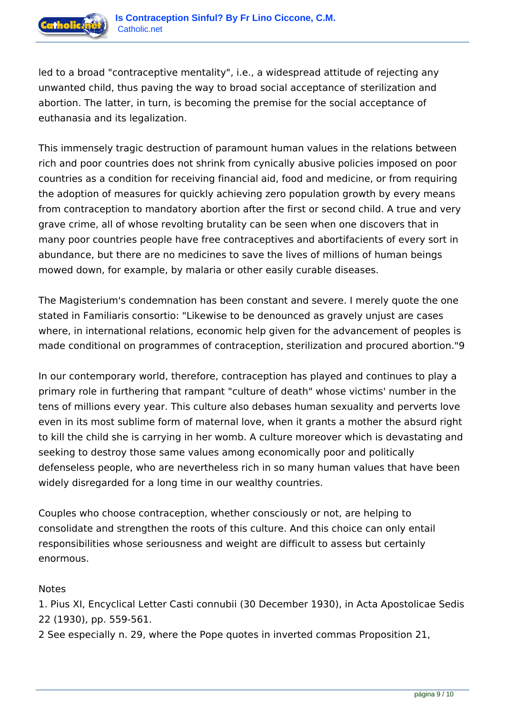

led to a broad "contraceptive mentality", i.e., a widespread attitude of rejecting any unwanted child, thus paving the way to broad social acceptance of sterilization and abortion. The latter, in turn, is becoming the premise for the social acceptance of euthanasia and its legalization.

This immensely tragic destruction of paramount human values in the relations between rich and poor countries does not shrink from cynically abusive policies imposed on poor countries as a condition for receiving financial aid, food and medicine, or from requiring the adoption of measures for quickly achieving zero population growth by every means from contraception to mandatory abortion after the first or second child. A true and very grave crime, all of whose revolting brutality can be seen when one discovers that in many poor countries people have free contraceptives and abortifacients of every sort in abundance, but there are no medicines to save the lives of millions of human beings mowed down, for example, by malaria or other easily curable diseases.

The Magisterium's condemnation has been constant and severe. I merely quote the one stated in Familiaris consortio: "Likewise to be denounced as gravely unjust are cases where, in international relations, economic help given for the advancement of peoples is made conditional on programmes of contraception, sterilization and procured abortion."9

In our contemporary world, therefore, contraception has played and continues to play a primary role in furthering that rampant "culture of death" whose victims' number in the tens of millions every year. This culture also debases human sexuality and perverts love even in its most sublime form of maternal love, when it grants a mother the absurd right to kill the child she is carrying in her womb. A culture moreover which is devastating and seeking to destroy those same values among economically poor and politically defenseless people, who are nevertheless rich in so many human values that have been widely disregarded for a long time in our wealthy countries.

Couples who choose contraception, whether consciously or not, are helping to consolidate and strengthen the roots of this culture. And this choice can only entail responsibilities whose seriousness and weight are difficult to assess but certainly enormous.

### Notes

1. Pius XI, Encyclical Letter Casti connubii (30 December 1930), in Acta Apostolicae Sedis 22 (1930), pp. 559-561.

2 See especially n. 29, where the Pope quotes in inverted commas Proposition 21,